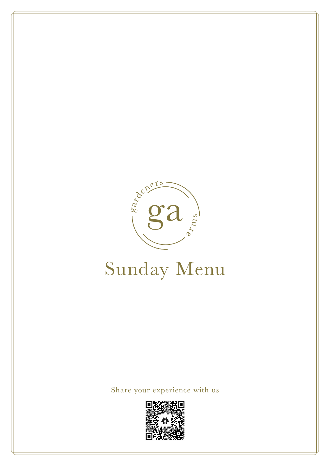

# Sunday Menu

### Share your experience with us